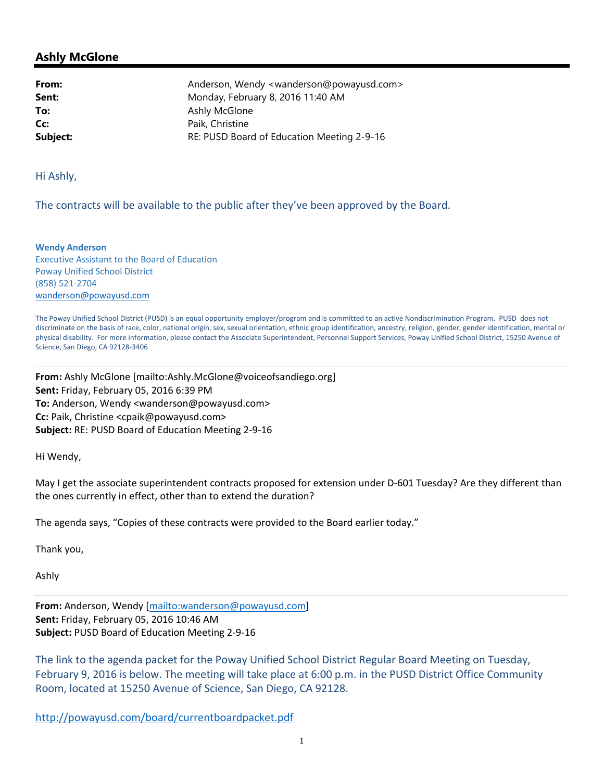## **Ashly McGlone**

**From:** Anderson, Wendy <wanderson@powayusd.com> **Sent:** Monday, February 8, 2016 11:40 AM **To:** Ashly McGlone **Cc:** Paik, Christine **Subject:** RE: PUSD Board of Education Meeting 2-9-16

Hi Ashly,

The contracts will be available to the public after they've been approved by the Board.

**Wendy Anderson**  Executive Assistant to the Board of Education Poway Unified School District (858) 521‐2704 wanderson@powayusd.com

The Poway Unified School District (PUSD) is an equal opportunity employer/program and is committed to an active Nondiscrimination Program. PUSD does not discriminate on the basis of race, color, national origin, sex, sexual orientation, ethnic group identification, ancestry, religion, gender, gender identification, mental or physical disability. For more information, please contact the Associate Superintendent, Personnel Support Services, Poway Unified School District, 15250 Avenue of Science, San Diego, CA 92128‐3406

**From:** Ashly McGlone [mailto:Ashly.McGlone@voiceofsandiego.org] **Sent:** Friday, February 05, 2016 6:39 PM **To:** Anderson, Wendy <wanderson@powayusd.com> **Cc:** Paik, Christine <cpaik@powayusd.com> **Subject:** RE: PUSD Board of Education Meeting 2‐9‐16

Hi Wendy,

May I get the associate superintendent contracts proposed for extension under D-601 Tuesday? Are they different than the ones currently in effect, other than to extend the duration?

The agenda says, "Copies of these contracts were provided to the Board earlier today."

Thank you,

Ashly

**From:** Anderson, Wendy [mailto:wanderson@powayusd.com] **Sent:** Friday, February 05, 2016 10:46 AM **Subject:** PUSD Board of Education Meeting 2‐9‐16

The link to the agenda packet for the Poway Unified School District Regular Board Meeting on Tuesday, February 9, 2016 is below. The meeting will take place at 6:00 p.m. in the PUSD District Office Community Room, located at 15250 Avenue of Science, San Diego, CA 92128.

http://powayusd.com/board/currentboardpacket.pdf